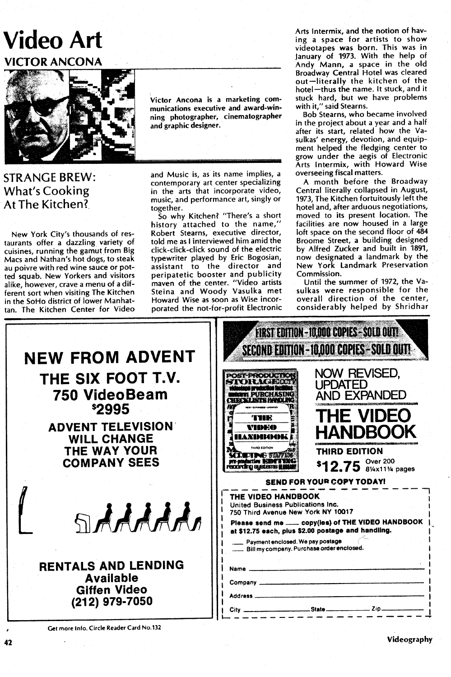## Video Art VICTOR ANCONA



## STRANGE BREW: What's Cooking At The Kitchen?.

New York City's thousands of restaurants offer <sup>a</sup> dazzling, variety of cuisines, running the gamut from Big Macs and Nathan's hot dogs, to steak au poivre with red wine sauce or potted squab. New Yorkers and visitors alike, however, crave <sup>a</sup> menu of <sup>a</sup> different sort when visiting The Kitchen in the SoHo district of lower Manhattan. The Kitchen Center for Video

Victor Ancona is a marketing communications executive and award-winning photographer, cinematographer and graphic designer.

and Music is, as its name implies, a contemporary art center specializing in the arts that incorporate video, music, and performance art, singly or together .

So why Kitchen? "There's <sup>a</sup> short history attached to the name," Robert Stearns, executive director, told me as <sup>I</sup> interviewed him amid the click-click-click sound of the electric typewriter played by Eric Bogosian, assistant to the director and peripatetic booster and publicity maven of the center. "Video artists Steina and Woody Vasulka met Howard Wise as soon as Wise incorporated the not-for-profit Electronic Arts Intermix, and the notion of having <sup>a</sup> space for artists to show videotapes was born. This was in January of 1973. With the help of Andy Mann, <sup>a</sup> space in the old Broadway Central Hotel was cleared out-literally the kitchen of the hotel-thus the name. It stuck, and it stuck hard, but we have problems with it," said Stearns.

Bob Stearns, who became involved in the project about a year and a half after its start, related how the Vasulkas' energy, devotion, and equipment helped the fledging center to grow under the aegis of Electronic Arts Intermix, with Howard Wise overseeing fiscal matters.

A month before the Broadway Central literally collapsed in August, 1973, The Kitchen fortuitously left the hotel and, after arduous negotiations, moved to its present location. The facilities are now housed in <sup>a</sup> large loft space on the second floor of 484 Broome Street, a building designed by Alfred Zucker and built in 1891, now designated <sup>a</sup> landmark by the New York Landmark Preservation Commission.

Until the summer of 1972, the Vasulkas were responsible for the overall direction of the center, considerably helped by Shridhar



Videography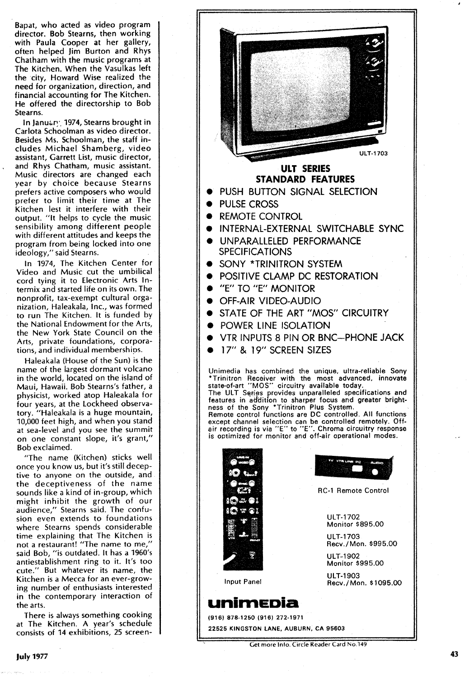Bapat, who acted as video program director. Bob Stearns, then working with Paula Cooper at her gallery, often helped Jim Burton and Rhys Chatham with the music programs at The Kitchen. When the Vasulkas left the city, Howard Wise realized the need for organization, direction, and financial accounting for The Kitchen. He offered the directorship to Bob Stearns.

In January, 1974, Stearns brought in Carlota Schoolman as video director . Besides Ms. Schoolman, the staff includes Michael Shamberg, video assistant, Garrett List, music director, and Rhys Chatham, music assistant. Music directors are changed each year by choice because Stearns prefers active composers who would prefer to limit their time at The Kitchen lest it interfere with their output. "It helps to cycle the music sensibility among different people with different attitudes and keeps the program from being locked into one ideology," said Stearns.

In 1974, The Kitchen Center for Video and Music cut the umbilical cord tying it to Electronic Arts Intermix and started life on its own. The nonprofit, tax-exempt cultural organization, Haleakala, Inc., was formed to run The Kitchen. It is funded by the National Endowment for the Arts, the New York State Council on the Arts, private foundations, corporations, and individual memberships.

Haleakala (House of the Sun) is the name of the largest dormant volcano in the world, located on the island of Maui, Hawaii. Bob Stearns's father, <sup>a</sup> physicist, worked atop Haleakala for four years, at the Lockheed observatory. "Haleakala is a huge mountain, 10,000 feet high, and when you stand at sea-level and you see the summit on one constant slope, it's grant," Bob exclaimed.

"The name (Kitchen) sticks well once you know us, but it's still deceptive to anyone on the outside, and the deceptiveness of the name sounds like a kind of in-group, which might inhibit the growth of our audience," Stearns said . The confusion even extends to foundations where Stearns spends considerable time explaining that The Kitchen is not a restaurant! "The name to me," said Bob, "is outdated. It has a 1960's antiestablishment ring to it. It's too cute." But whatever its name, the Kitchen is a Mecca for an ever-growing number of enthusiasts interested in the contemporary interaction of the arts.

There is always something cooking at The Kitchen. A year's schedule consists of 14 exhibitions, 25 screen-